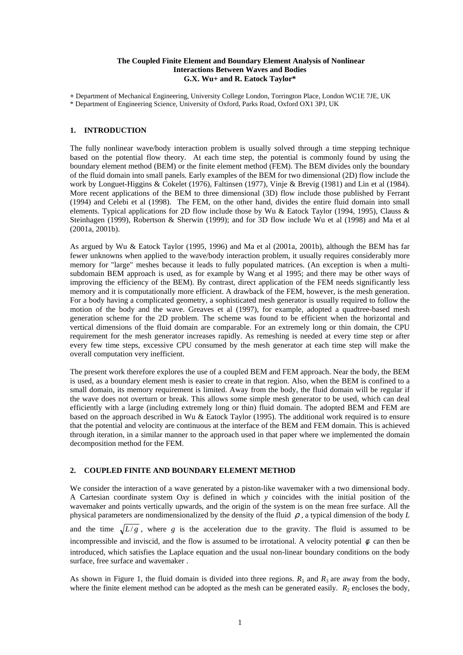## **The Coupled Finite Element and Boundary Element Analysis of Nonlinear Interactions Between Waves and Bodies G.X. Wu+ and R. Eatock Taylor\***

**+** Department of Mechanical Engineering, University College London, Torrington Place, London WC1E 7JE, UK \* Department of Engineering Science, University of Oxford, Parks Road, Oxford OX1 3PJ, UK

# **1. INTRODUCTION**

The fully nonlinear wave/body interaction problem is usually solved through a time stepping technique based on the potential flow theory. At each time step, the potential is commonly found by using the boundary element method (BEM) or the finite element method (FEM). The BEM divides only the boundary of the fluid domain into small panels. Early examples of the BEM for two dimensional (2D) flow include the work by Longuet-Higgins & Cokelet (1976), Faltinsen (1977), Vinje & Brevig (1981) and Lin et al (1984). More recent applications of the BEM to three dimensional (3D) flow include those published by Ferrant (1994) and Celebi et al (1998). The FEM, on the other hand, divides the entire fluid domain into small elements. Typical applications for 2D flow include those by Wu & Eatock Taylor (1994, 1995), Clauss & Steinhagen (1999), Robertson & Sherwin (1999); and for 3D flow include Wu et al (1998) and Ma et al (2001a, 2001b).

As argued by Wu & Eatock Taylor (1995, 1996) and Ma et al (2001a, 2001b), although the BEM has far fewer unknowns when applied to the wave/body interaction problem, it usually requires considerably more memory for "large" meshes because it leads to fully populated matrices. (An exception is when a multisubdomain BEM approach is used, as for example by Wang et al 1995; and there may be other ways of improving the efficiency of the BEM). By contrast, direct application of the FEM needs significantly less memory and it is computationally more efficient. A drawback of the FEM, however, is the mesh generation. For a body having a complicated geometry, a sophisticated mesh generator is usually required to follow the motion of the body and the wave. Greaves et al (1997), for example, adopted a quadtree-based mesh generation scheme for the 2D problem. The scheme was found to be efficient when the horizontal and vertical dimensions of the fluid domain are comparable. For an extremely long or thin domain, the CPU requirement for the mesh generator increases rapidly. As remeshing is needed at every time step or after every few time steps, excessive CPU consumed by the mesh generator at each time step will make the overall computation very inefficient.

The present work therefore explores the use of a coupled BEM and FEM approach. Near the body, the BEM is used, as a boundary element mesh is easier to create in that region. Also, when the BEM is confined to a small domain, its memory requirement is limited. Away from the body, the fluid domain will be regular if the wave does not overturn or break. This allows some simple mesh generator to be used, which can deal efficiently with a large (including extremely long or thin) fluid domain. The adopted BEM and FEM are based on the approach described in Wu & Eatock Taylor (1995). The additional work required is to ensure that the potential and velocity are continuous at the interface of the BEM and FEM domain. This is achieved through iteration, in a similar manner to the approach used in that paper where we implemented the domain decomposition method for the FEM.

## **2. COUPLED FINITE AND BOUNDARY ELEMENT METHOD**

We consider the interaction of a wave generated by a piston-like wavemaker with a two dimensional body. A Cartesian coordinate system O*xy* is defined in which *y* coincides with the initial position of the wavemaker and points vertically upwards, and the origin of the system is on the mean free surface. All the physical parameters are nondimensionalized by the density of the fluid ρ , a typical dimension of the body *L* and the time  $\sqrt{L/g}$ , where *g* is the acceleration due to the gravity. The fluid is assumed to be incompressible and inviscid, and the flow is assumed to be irrotational. A velocity potential  $\phi$  can then be introduced, which satisfies the Laplace equation and the usual non-linear boundary conditions on the body surface, free surface and wavemaker .

As shown in Figure 1, the fluid domain is divided into three regions.  $R_1$  and  $R_3$  are away from the body, where the finite element method can be adopted as the mesh can be generated easily.  $R_2$  encloses the body,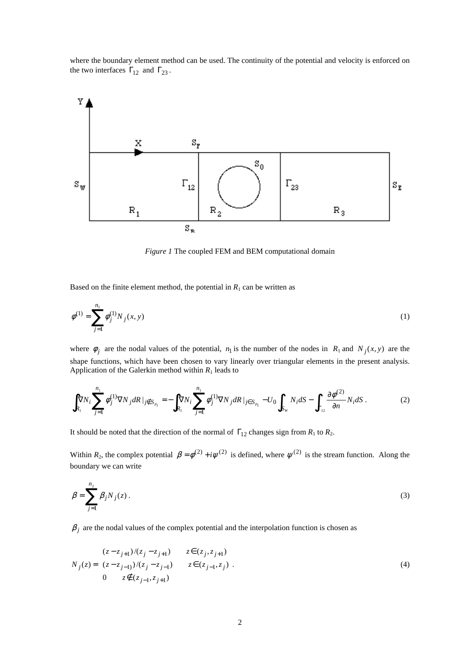where the boundary element method can be used. The continuity of the potential and velocity is enforced on the two interfaces  $\Gamma_{12}$  and  $\Gamma_{23}$ .



*Figure 1* The coupled FEM and BEM computational domain

Based on the finite element method, the potential in  $R_1$  can be written as

$$
\phi^{(1)} = \sum_{j=1}^{n_1} \phi_j^{(1)} N_j(x, y) \tag{1}
$$

where  $\phi_j$  are the nodal values of the potential,  $n_1$  is the number of the nodes in  $R_1$  and  $N_j(x, y)$  are the shape functions, which have been chosen to vary linearly over triangular elements in the present analysis. Application of the Galerkin method within  $R_1$  leads to

$$
\int_{R_1} \nabla N_i \sum_{j=1}^{n_1} \phi_j^{(1)} \nabla N_j dR \mid_{j \notin S_{F_1}} = -\int_{R_1} \nabla N_i \sum_{j=1}^{n_1} \phi_j^{(1)} \nabla N_j dR \mid_{j \in S_{F_1}} -U_0 \int_{S_W} N_i dS - \int_{\Gamma_{12}} \frac{\partial \phi^{(2)}}{\partial n} N_i dS. \tag{2}
$$

It should be noted that the direction of the normal of  $\Gamma_{12}$  changes sign from  $R_1$  to  $R_2$ .

Within  $R_2$ , the complex potential  $\beta = \phi^{(2)} + i\psi^{(2)}$  is defined, where  $\psi^{(2)}$  is the stream function. Along the boundary we can write

$$
\beta = \sum_{j=1}^{n_2} \beta_j N_j(z).
$$
 (3)

 $\beta_j$  are the nodal values of the complex potential and the interpolation function is chosen as

$$
N_j(z) = \begin{cases} (z - z_{j+1})/(z_j - z_{j+1}) & z \in (z_j, z_{j+1}) \\ (z - z_{j-1})/(z_j - z_{j-1}) & z \in (z_{j-1}, z_j) \\ 0 & z \notin (z_{j-1}, z_{j+1}) \end{cases}
$$
 (4)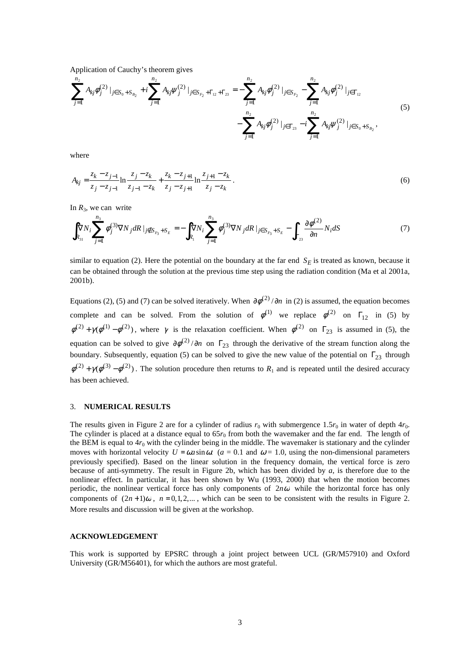Application of Cauchy's theorem gives

$$
\sum_{j=1}^{n_2} A_{kj} \phi_j^{(2)} |_{j \in S_0 + S_{B_2}} + i \sum_{j=1}^{n_2} A_{kj} \psi_j^{(2)} |_{j \in S_{F_2} + \Gamma_{12} + \Gamma_{23}} = - \sum_{j=1}^{n_2} A_{kj} \phi_j^{(2)} |_{j \in S_{F_2}} - \sum_{j=1}^{n_2} A_{kj} \phi_j^{(2)} |_{j \in \Gamma_{12}} - \sum_{j=1}^{n_2} A_{kj} \phi_j^{(2)} |_{j \in S_0 + S_{B_2}},
$$
\n(5)

where

$$
A_{kj} = \frac{z_k - z_{j-1}}{z_j - z_{j-1}} \ln \frac{z_j - z_k}{z_{j-1} - z_k} + \frac{z_k - z_{j+1}}{z_j - z_{j+1}} \ln \frac{z_{j+1} - z_k}{z_j - z_k}.
$$
(6)

In  $R_3$ , we can write

$$
\int_{R_{31}} \nabla N_i \sum_{j=1}^{n_3} \phi_j^{(3)} \nabla N_j dR \mid_{j \notin S_{F_3} + S_E} = -\int_{R_1} \nabla N_i \sum_{j=1}^{n_3} \phi_j^{(3)} \nabla N_j dR \mid_{j \in S_{F_3} + S_E} - \int_{\Gamma_{23}} \frac{\partial \phi^{(2)}}{\partial n} N_i dS \tag{7}
$$

similar to equation (2). Here the potential on the boundary at the far end  $S_E$  is treated as known, because it can be obtained through the solution at the previous time step using the radiation condition (Ma et al 2001a, 2001b).

Equations (2), (5) and (7) can be solved iteratively. When  $\partial \phi^{(2)}/\partial n$  in (2) is assumed, the equation becomes complete and can be solved. From the solution of  $\phi^{(1)}$  we replace  $\phi^{(2)}$  on  $\Gamma_{12}$  in (5) by  $\phi^{(2)} + \gamma(\phi^{(1)} - \phi^{(2)})$ , where  $\gamma$  is the relaxation coefficient. When  $\phi^{(2)}$  on  $\Gamma_{23}$  is assumed in (5), the equation can be solved to give  $\partial \phi^{(2)}/\partial n$  on  $\Gamma_{23}$  through the derivative of the stream function along the boundary. Subsequently, equation (5) can be solved to give the new value of the potential on  $\Gamma_{23}$  through  $\phi^{(2)} + \gamma(\phi^{(3)} - \phi^{(2)})$ . The solution procedure then returns to  $R_1$  and is repeated until the desired accuracy has been achieved.

# 3. **NUMERICAL RESULTS**

The results given in Figure 2 are for a cylinder of radius  $r_0$  with submergence 1.5 $r_0$  in water of depth 4 $r_0$ . The cylinder is placed at a distance equal to  $65r<sub>0</sub>$  from both the wavemaker and the far end. The length of the BEM is equal to  $4r_0$  with the cylinder being in the middle. The wavemaker is stationary and the cylinder moves with horizontal velocity  $U = \omega a \sin \omega t$  ( $a = 0.1$  and  $\omega = 1.0$ , using the non-dimensional parameters previously specified). Based on the linear solution in the frequency domain, the vertical force is zero because of anti-symmetry. The result in Figure 2b, which has been divided by *a*, is therefore due to the nonlinear effect. In particular, it has been shown by Wu (1993, 2000) that when the motion becomes periodic, the nonlinear vertical force has only components of 2*n*<sup>ω</sup> while the horizontal force has only components of  $(2n+1)\omega$ ,  $n=0,1,2,...$ , which can be seen to be consistent with the results in Figure 2. More results and discussion will be given at the workshop.

### **ACKNOWLEDGEMENT**

This work is supported by EPSRC through a joint project between UCL (GR/M57910) and Oxford University (GR/M56401), for which the authors are most grateful.